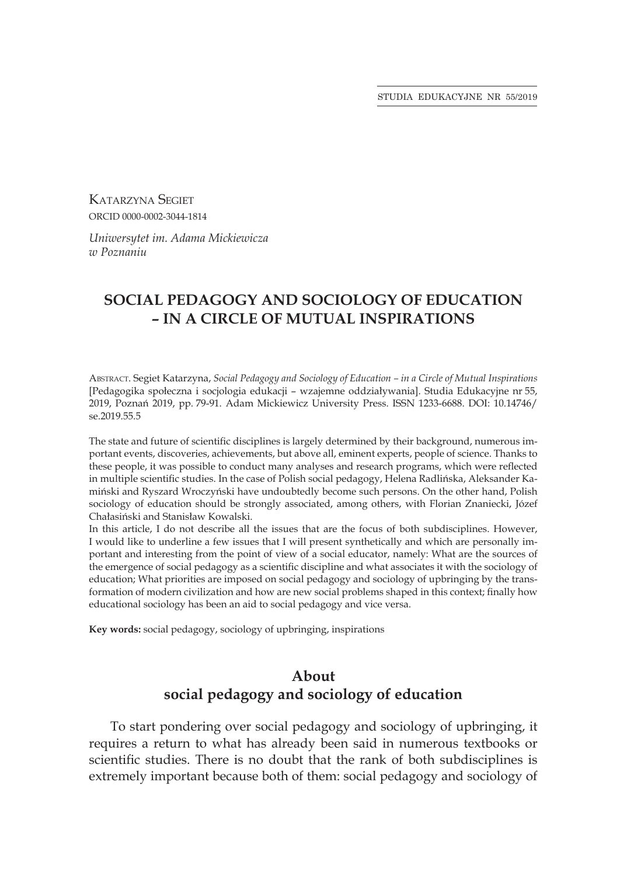STUDIA EDUKACYJNE NR 55/2019

Katarzyna Segiet ORCID 0000-0002-3044-1814

*Uniwersytet im. Adama Mickiewicza w Poznaniu*

# **SOCIAL PEDAGOGY AND SOCIOLOGY OF EDUCATION – IN A CIRCLE OF MUTUAL INSPIRATIONS**

Abstract. Segiet Katarzyna, *Social Pedagogy and Sociology of Education – in a Circle of Mutual Inspirations* [Pedagogika społeczna i socjologia edukacji – wzajemne oddziaływania]. Studia Edukacyjne nr 55, 2019, Poznań 2019, pp. 79-91. Adam Mickiewicz University Press. ISSN 1233-6688. DOI: 10.14746/ se.2019.55.5

The state and future of scientific disciplines is largely determined by their background, numerous important events, discoveries, achievements, but above all, eminent experts, people of science. Thanks to these people, it was possible to conduct many analyses and research programs, which were reflected in multiple scientific studies. In the case of Polish social pedagogy, Helena Radlińska, Aleksander Kamiński and Ryszard Wroczyński have undoubtedly become such persons. On the other hand, Polish sociology of education should be strongly associated, among others, with Florian Znaniecki, Józef Chałasiński and Stanisław Kowalski.

In this article, I do not describe all the issues that are the focus of both subdisciplines. However, I would like to underline a few issues that I will present synthetically and which are personally important and interesting from the point of view of a social educator, namely: What are the sources of the emergence of social pedagogy as a scientific discipline and what associates it with the sociology of education; What priorities are imposed on social pedagogy and sociology of upbringing by the transformation of modern civilization and how are new social problems shaped in this context; finally how educational sociology has been an aid to social pedagogy and vice versa.

**Key words:** social pedagogy, sociology of upbringing, inspirations

## **About social pedagogy and sociology of education**

To start pondering over social pedagogy and sociology of upbringing, it requires a return to what has already been said in numerous textbooks or scientific studies. There is no doubt that the rank of both subdisciplines is extremely important because both of them: social pedagogy and sociology of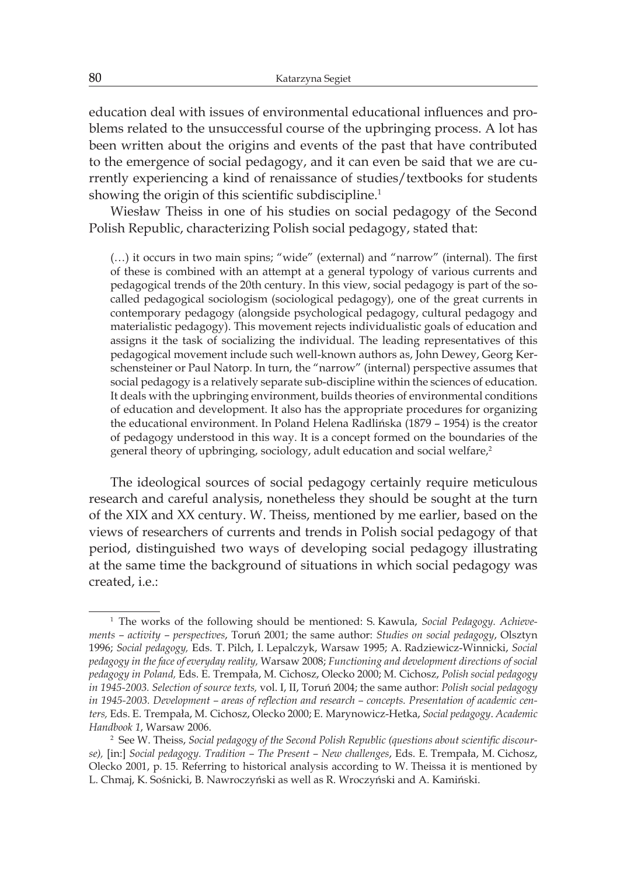education deal with issues of environmental educational influences and problems related to the unsuccessful course of the upbringing process. A lot has been written about the origins and events of the past that have contributed to the emergence of social pedagogy, and it can even be said that we are currently experiencing a kind of renaissance of studies/textbooks for students showing the origin of this scientific subdiscipline.<sup>1</sup>

Wiesław Theiss in one of his studies on social pedagogy of the Second Polish Republic, characterizing Polish social pedagogy, stated that:

(…) it occurs in two main spins; "wide" (external) and "narrow" (internal). The first of these is combined with an attempt at a general typology of various currents and pedagogical trends of the 20th century. In this view, social pedagogy is part of the socalled pedagogical sociologism (sociological pedagogy), one of the great currents in contemporary pedagogy (alongside psychological pedagogy, cultural pedagogy and materialistic pedagogy). This movement rejects individualistic goals of education and assigns it the task of socializing the individual. The leading representatives of this pedagogical movement include such well-known authors as, John Dewey, Georg Kerschensteiner or Paul Natorp. In turn, the "narrow" (internal) perspective assumes that social pedagogy is a relatively separate sub-discipline within the sciences of education. It deals with the upbringing environment, builds theories of environmental conditions of education and development. It also has the appropriate procedures for organizing the educational environment. In Poland Helena Radlińska (1879 – 1954) is the creator of pedagogy understood in this way. It is a concept formed on the boundaries of the general theory of upbringing, sociology, adult education and social welfare,<sup>2</sup>

The ideological sources of social pedagogy certainly require meticulous research and careful analysis, nonetheless they should be sought at the turn of the XIX and XX century. W. Theiss, mentioned by me earlier, based on the views of researchers of currents and trends in Polish social pedagogy of that period, distinguished two ways of developing social pedagogy illustrating at the same time the background of situations in which social pedagogy was created, i.e.:

<sup>1</sup> The works of the following should be mentioned: S. Kawula, *Social Pedagogy. Achievements – activity – perspectives*, Toruń 2001; the same author: *Studies on social pedagogy*, Olsztyn 1996; *Social pedagogy,* Eds. T. Pilch, I. Lepalczyk, Warsaw 1995; A. Radziewicz-Winnicki, *Social pedagogy in the face of everyday reality,* Warsaw 2008; *Functioning and development directions of social pedagogy in Poland,* Eds. E. Trempała, M. Cichosz, Olecko 2000; M. Cichosz, *Polish social pedagogy in 1945-2003. Selection of source texts,* vol. I, II, Toruń 2004; the same author: *Polish social pedagogy in 1945-2003. Development – areas of reflection and research – concepts. Presentation of academic centers,* Eds. E. Trempała, M. Cichosz, Olecko 2000; E. Marynowicz-Hetka, *Social pedagogy*. *Academic Handbook 1*, Warsaw 2006.

<sup>2</sup> See W. Theiss, *Social pedagogy of the Second Polish Republic (questions about scientific discourse),* [in:] *Social pedagogy. Tradition – The Present – New challenges*, Eds. E. Trempała, M. Cichosz, Olecko 2001, p. 15. Referring to historical analysis according to W. Theissa it is mentioned by L. Chmaj, K. Sośnicki, B. Nawroczyński as well as R. Wroczyński and A. Kamiński.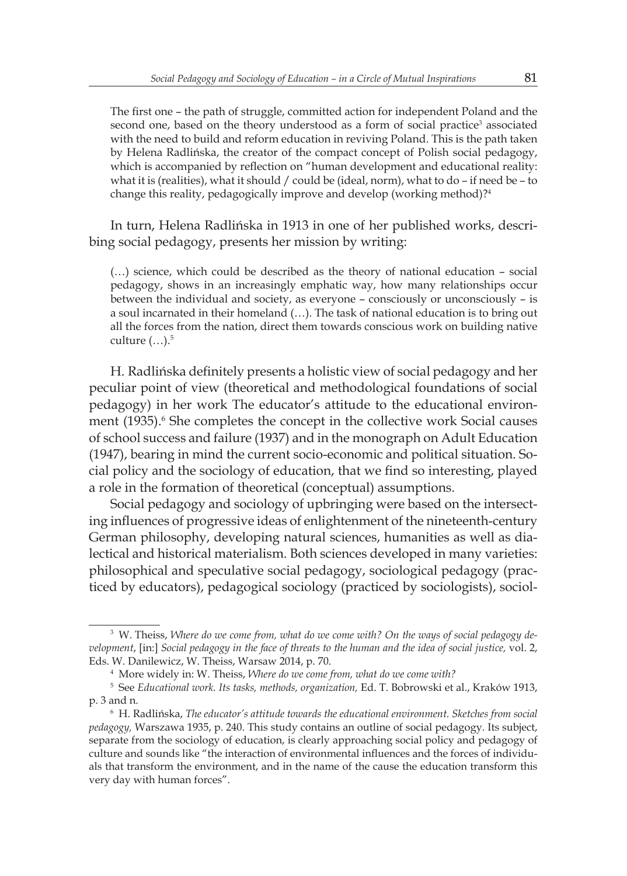The first one – the path of struggle, committed action for independent Poland and the second one, based on the theory understood as a form of social practice<sup>3</sup> associated with the need to build and reform education in reviving Poland. This is the path taken by Helena Radlińska, the creator of the compact concept of Polish social pedagogy, which is accompanied by reflection on "human development and educational reality: what it is (realities), what it should / could be (ideal, norm), what to do – if need be – to change this reality, pedagogically improve and develop (working method)?<sup>4</sup>

In turn, Helena Radlińska in 1913 in one of her published works, describing social pedagogy, presents her mission by writing:

(…) science, which could be described as the theory of national education – social pedagogy, shows in an increasingly emphatic way, how many relationships occur between the individual and society, as everyone – consciously or unconsciously – is a soul incarnated in their homeland (…). The task of national education is to bring out all the forces from the nation, direct them towards conscious work on building native culture  $(...).<sup>5</sup>$ 

H. Radlińska definitely presents a holistic view of social pedagogy and her peculiar point of view (theoretical and methodological foundations of social pedagogy) in her work The educator's attitude to the educational environment (1935).<sup>6</sup> She completes the concept in the collective work Social causes of school success and failure (1937) and in the monograph on Adult Education (1947), bearing in mind the current socio-economic and political situation. Social policy and the sociology of education, that we find so interesting, played a role in the formation of theoretical (conceptual) assumptions.

Social pedagogy and sociology of upbringing were based on the intersecting influences of progressive ideas of enlightenment of the nineteenth-century German philosophy, developing natural sciences, humanities as well as dialectical and historical materialism. Both sciences developed in many varieties: philosophical and speculative social pedagogy, sociological pedagogy (practiced by educators), pedagogical sociology (practiced by sociologists), sociol-

<sup>3</sup> W. Theiss, *Where do we come from, what do we come with? On the ways of social pedagogy development*, [in:] *Social pedagogy in the face of threats to the human and the idea of social justice,* vol. 2, Eds. W. Danilewicz, W. Theiss, Warsaw 2014, p. 70.

<sup>4</sup> More widely in: W. Theiss, *Where do we come from, what do we come with?*

<sup>5</sup> See *Educational work. Its tasks, methods, organization,* Ed. T. Bobrowski et al., Kraków 1913, p. 3 and n.

<sup>6</sup> H. Radlińska, *The educator's attitude towards the educational environment. Sketches from social pedagogy,* Warszawa 1935, p. 240. This study contains an outline of social pedagogy. Its subject, separate from the sociology of education, is clearly approaching social policy and pedagogy of culture and sounds like "the interaction of environmental influences and the forces of individuals that transform the environment, and in the name of the cause the education transform this very day with human forces".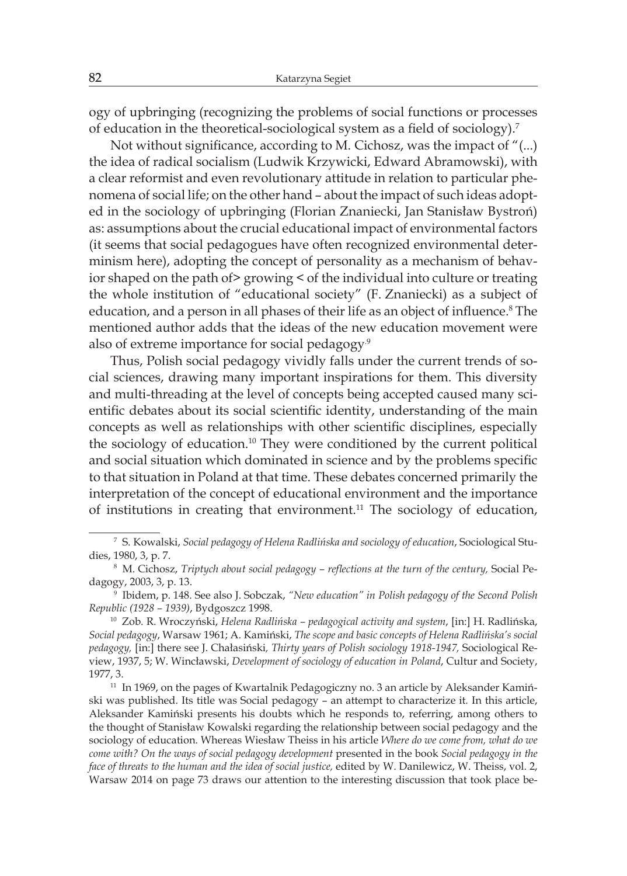ogy of upbringing (recognizing the problems of social functions or processes of education in the theoretical-sociological system as a field of sociology).<sup>7</sup>

Not without significance, according to M. Cichosz, was the impact of "(...) the idea of radical socialism (Ludwik Krzywicki, Edward Abramowski), with a clear reformist and even revolutionary attitude in relation to particular phenomena of social life; on the other hand – about the impact of such ideas adopted in the sociology of upbringing (Florian Znaniecki, Jan Stanisław Bystroń) as: assumptions about the crucial educational impact of environmental factors (it seems that social pedagogues have often recognized environmental determinism here), adopting the concept of personality as a mechanism of behavior shaped on the path of> growing < of the individual into culture or treating the whole institution of "educational society" (F. Znaniecki) as a subject of education, and a person in all phases of their life as an object of influence.<sup>8</sup> The mentioned author adds that the ideas of the new education movement were also of extreme importance for social pedagogy.<sup>9</sup>

Thus, Polish social pedagogy vividly falls under the current trends of social sciences, drawing many important inspirations for them. This diversity and multi-threading at the level of concepts being accepted caused many scientific debates about its social scientific identity, understanding of the main concepts as well as relationships with other scientific disciplines, especially the sociology of education.<sup>10</sup> They were conditioned by the current political and social situation which dominated in science and by the problems specific to that situation in Poland at that time. These debates concerned primarily the interpretation of the concept of educational environment and the importance of institutions in creating that environment.<sup>11</sup> The sociology of education,

<sup>7</sup> S. Kowalski, *Social pedagogy of Helena Radlińska and sociology of education*, Sociological Studies, 1980, 3, p. 7.

<sup>8</sup> M. Cichosz, *Triptych about social pedagogy – reflections at the turn of the century,* Social Pedagogy, 2003, 3, p. 13.

<sup>9</sup> Ibidem, p. 148. See also J. Sobczak, *"New education" in Polish pedagogy of the Second Polish Republic (1928 – 1939)*, Bydgoszcz 1998.

<sup>10</sup> Zob. R. Wroczyński, *Helena Radlińska – pedagogical activity and system*, [in:] H. Radlińska, *Social pedagogy*, Warsaw 1961; A. Kamiński, *The scope and basic concepts of Helena Radlińska's social pedagogy,* [in:] there see J. Chałasiński*, Thirty years of Polish sociology 1918-1947,* Sociological Review, 1937, 5; W. Wincławski, *Development of sociology of education in Poland*, Cultur and Society, 1977, 3.

<sup>&</sup>lt;sup>11</sup> In 1969, on the pages of Kwartalnik Pedagogiczny no. 3 an article by Aleksander Kamiński was published. Its title was Social pedagogy – an attempt to characterize it*.* In this article, Aleksander Kamiński presents his doubts which he responds to, referring, among others to the thought of Stanisław Kowalski regarding the relationship between social pedagogy and the sociology of education. Whereas Wiesław Theiss in his article *Where do we come from, what do we come with? On the ways of social pedagogy development* presented in the book *Social pedagogy in the face of threats to the human and the idea of social justice,* edited by W. Danilewicz, W. Theiss, vol. 2, Warsaw 2014 on page 73 draws our attention to the interesting discussion that took place be-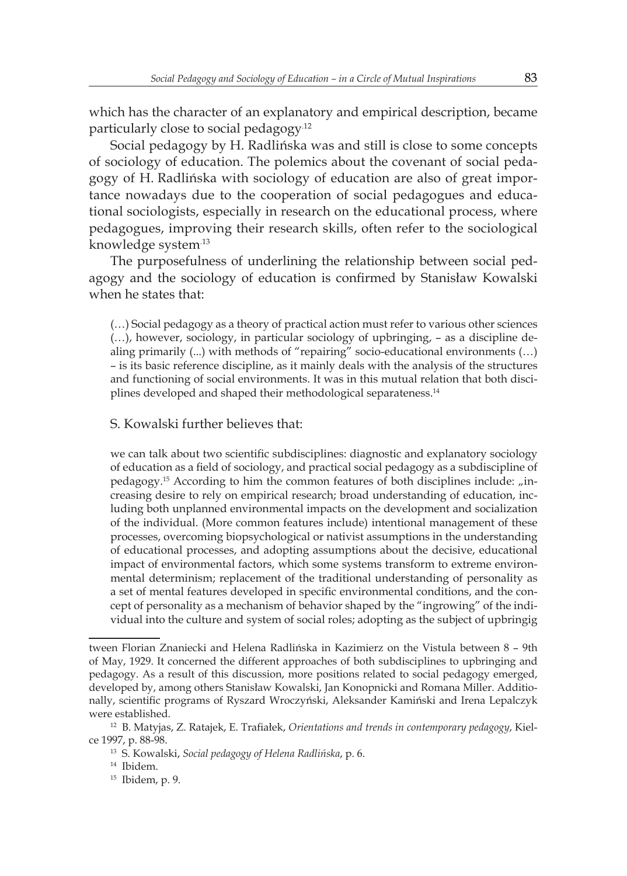which has the character of an explanatory and empirical description, became particularly close to social pedagogy.12

Social pedagogy by H. Radlińska was and still is close to some concepts of sociology of education. The polemics about the covenant of social pedagogy of H. Radlińska with sociology of education are also of great importance nowadays due to the cooperation of social pedagogues and educational sociologists, especially in research on the educational process, where pedagogues, improving their research skills, often refer to the sociological knowledge system.13

The purposefulness of underlining the relationship between social pedagogy and the sociology of education is confirmed by Stanisław Kowalski when he states that:

(…) Social pedagogy as a theory of practical action must refer to various other sciences (…), however, sociology, in particular sociology of upbringing, – as a discipline dealing primarily (...) with methods of "repairing" socio-educational environments (…) – is its basic reference discipline, as it mainly deals with the analysis of the structures and functioning of social environments. It was in this mutual relation that both disciplines developed and shaped their methodological separateness.<sup>14</sup>

### S. Kowalski further believes that:

we can talk about two scientific subdisciplines: diagnostic and explanatory sociology of education as a field of sociology, and practical social pedagogy as a subdiscipline of pedagogy.<sup>15</sup> According to him the common features of both disciplines include:  $\pi$ increasing desire to rely on empirical research; broad understanding of education, including both unplanned environmental impacts on the development and socialization of the individual. (More common features include) intentional management of these processes, overcoming biopsychological or nativist assumptions in the understanding of educational processes, and adopting assumptions about the decisive, educational impact of environmental factors, which some systems transform to extreme environmental determinism; replacement of the traditional understanding of personality as a set of mental features developed in specific environmental conditions, and the concept of personality as a mechanism of behavior shaped by the "ingrowing" of the individual into the culture and system of social roles; adopting as the subject of upbringig

tween Florian Znaniecki and Helena Radlińska in Kazimierz on the Vistula between 8 – 9th of May, 1929. It concerned the different approaches of both subdisciplines to upbringing and pedagogy. As a result of this discussion, more positions related to social pedagogy emerged, developed by, among others Stanisław Kowalski, Jan Konopnicki and Romana Miller. Additionally, scientific programs of Ryszard Wroczyński, Aleksander Kamiński and Irena Lepalczyk were established.

<sup>12</sup> B. Matyjas, Z. Ratajek, E. Trafiałek, *Orientations and trends in contemporary pedagogy*, Kielce 1997, p. 88-98.

<sup>13</sup> S. Kowalski, *Social pedagogy of Helena Radlińska*, p. 6.

<sup>14</sup> Ibidem.

<sup>15</sup> Ibidem, p. 9.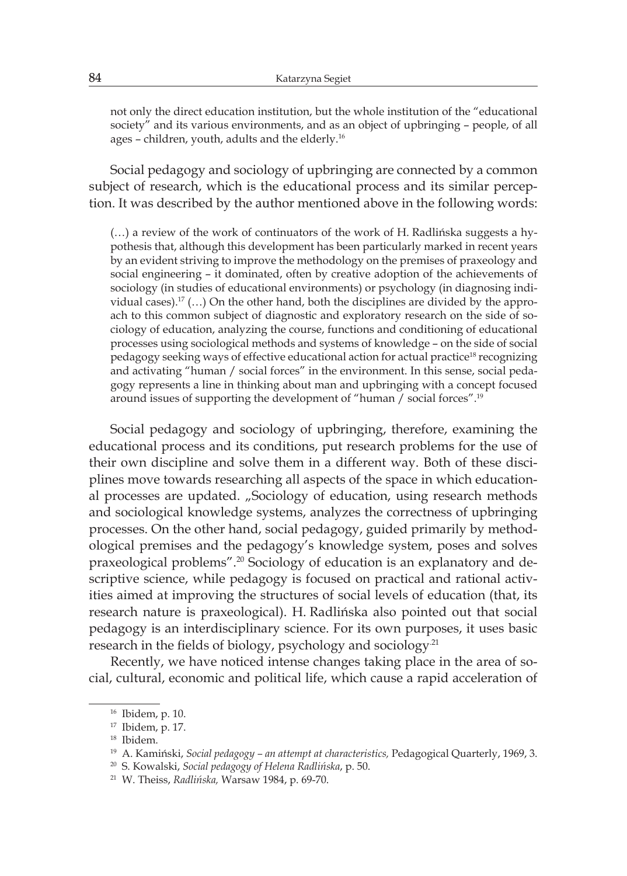not only the direct education institution, but the whole institution of the "educational society" and its various environments, and as an object of upbringing – people, of all ages – children, youth, adults and the elderly.<sup>16</sup>

Social pedagogy and sociology of upbringing are connected by a common subject of research, which is the educational process and its similar perception. It was described by the author mentioned above in the following words:

(…) a review of the work of continuators of the work of H. Radlińska suggests a hypothesis that, although this development has been particularly marked in recent years by an evident striving to improve the methodology on the premises of praxeology and social engineering – it dominated, often by creative adoption of the achievements of sociology (in studies of educational environments) or psychology (in diagnosing individual cases).<sup>17</sup> (...) On the other hand, both the disciplines are divided by the approach to this common subject of diagnostic and exploratory research on the side of sociology of education, analyzing the course, functions and conditioning of educational processes using sociological methods and systems of knowledge – on the side of social pedagogy seeking ways of effective educational action for actual practice<sup>18</sup> recognizing and activating "human / social forces" in the environment. In this sense, social pedagogy represents a line in thinking about man and upbringing with a concept focused around issues of supporting the development of "human / social forces".<sup>19</sup>

Social pedagogy and sociology of upbringing, therefore, examining the educational process and its conditions, put research problems for the use of their own discipline and solve them in a different way. Both of these disciplines move towards researching all aspects of the space in which educational processes are updated. "Sociology of education, using research methods and sociological knowledge systems, analyzes the correctness of upbringing processes. On the other hand, social pedagogy, guided primarily by methodological premises and the pedagogy's knowledge system, poses and solves praxeological problems".<sup>20</sup> Sociology of education is an explanatory and descriptive science, while pedagogy is focused on practical and rational activities aimed at improving the structures of social levels of education (that, its research nature is praxeological). H. Radlińska also pointed out that social pedagogy is an interdisciplinary science. For its own purposes, it uses basic research in the fields of biology, psychology and sociology<sup>21</sup>

Recently, we have noticed intense changes taking place in the area of social, cultural, economic and political life, which cause a rapid acceleration of

<sup>16</sup> Ibidem, p. 10.

<sup>17</sup> Ibidem, p. 17.

<sup>18</sup> Ibidem.

<sup>19</sup> A. Kamiński, *Social pedagogy – an attempt at characteristics,* Pedagogical Quarterly, 1969, 3.

<sup>20</sup> S. Kowalski, *Social pedagogy of Helena Radlińska*, p. 50.

<sup>21</sup> W. Theiss, *Radlińska,* Warsaw 1984, p. 69-70.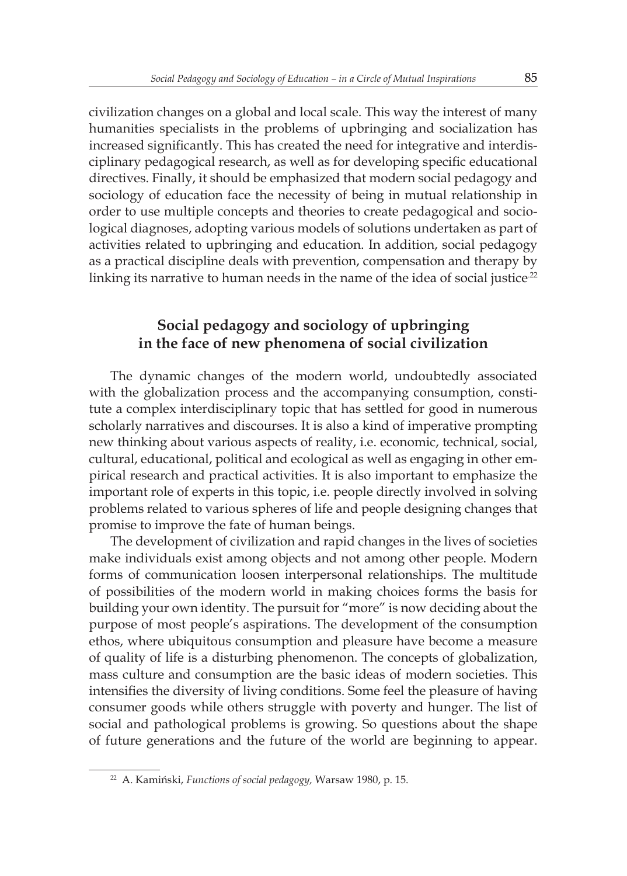civilization changes on a global and local scale. This way the interest of many humanities specialists in the problems of upbringing and socialization has increased significantly. This has created the need for integrative and interdisciplinary pedagogical research, as well as for developing specific educational directives. Finally, it should be emphasized that modern social pedagogy and sociology of education face the necessity of being in mutual relationship in order to use multiple concepts and theories to create pedagogical and sociological diagnoses, adopting various models of solutions undertaken as part of activities related to upbringing and education. In addition, social pedagogy as a practical discipline deals with prevention, compensation and therapy by linking its narrative to human needs in the name of the idea of social justice<sup>22</sup>

### **Social pedagogy and sociology of upbringing in the face of new phenomena of social civilization**

The dynamic changes of the modern world, undoubtedly associated with the globalization process and the accompanying consumption, constitute a complex interdisciplinary topic that has settled for good in numerous scholarly narratives and discourses. It is also a kind of imperative prompting new thinking about various aspects of reality, i.e. economic, technical, social, cultural, educational, political and ecological as well as engaging in other empirical research and practical activities. It is also important to emphasize the important role of experts in this topic, i.e. people directly involved in solving problems related to various spheres of life and people designing changes that promise to improve the fate of human beings.

The development of civilization and rapid changes in the lives of societies make individuals exist among objects and not among other people. Modern forms of communication loosen interpersonal relationships. The multitude of possibilities of the modern world in making choices forms the basis for building your own identity. The pursuit for "more" is now deciding about the purpose of most people's aspirations. The development of the consumption ethos, where ubiquitous consumption and pleasure have become a measure of quality of life is a disturbing phenomenon. The concepts of globalization, mass culture and consumption are the basic ideas of modern societies. This intensifies the diversity of living conditions. Some feel the pleasure of having consumer goods while others struggle with poverty and hunger. The list of social and pathological problems is growing. So questions about the shape of future generations and the future of the world are beginning to appear.

<sup>22</sup> A. Kamiński, *Functions of social pedagogy,* Warsaw 1980, p. 15.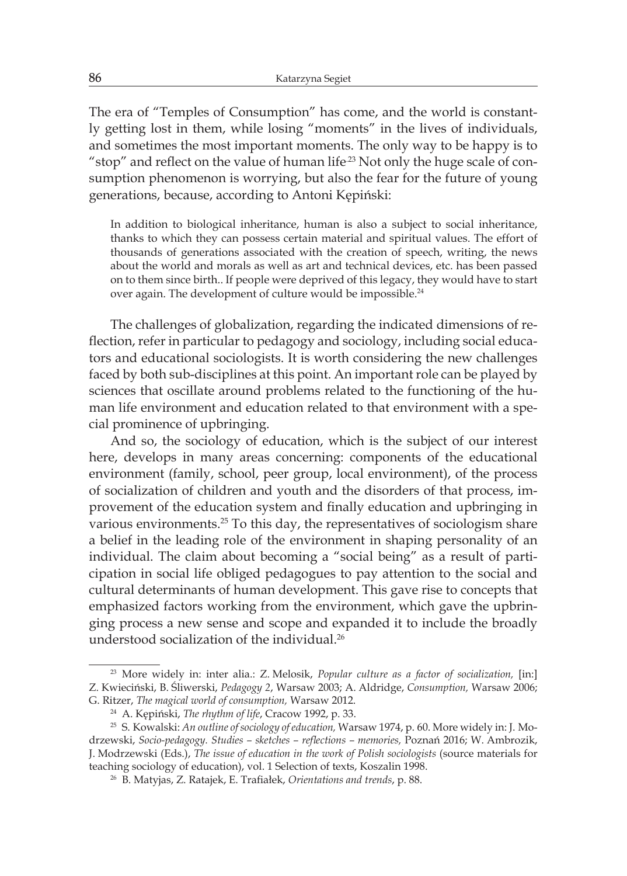The era of "Temples of Consumption" has come, and the world is constantly getting lost in them, while losing "moments" in the lives of individuals, and sometimes the most important moments. The only way to be happy is to "stop" and reflect on the value of human life<sup>23</sup> Not only the huge scale of consumption phenomenon is worrying, but also the fear for the future of young generations, because, according to Antoni Kępiński:

In addition to biological inheritance, human is also a subject to social inheritance, thanks to which they can possess certain material and spiritual values. The effort of thousands of generations associated with the creation of speech, writing, the news about the world and morals as well as art and technical devices, etc. has been passed on to them since birth.. If people were deprived of this legacy, they would have to start over again. The development of culture would be impossible.<sup>24</sup>

The challenges of globalization, regarding the indicated dimensions of reflection, refer in particular to pedagogy and sociology, including social educators and educational sociologists. It is worth considering the new challenges faced by both sub-disciplines at this point. An important role can be played by sciences that oscillate around problems related to the functioning of the human life environment and education related to that environment with a special prominence of upbringing.

And so, the sociology of education, which is the subject of our interest here, develops in many areas concerning: components of the educational environment (family, school, peer group, local environment), of the process of socialization of children and youth and the disorders of that process, improvement of the education system and finally education and upbringing in various environments.<sup>25</sup> To this day, the representatives of sociologism share a belief in the leading role of the environment in shaping personality of an individual. The claim about becoming a "social being" as a result of participation in social life obliged pedagogues to pay attention to the social and cultural determinants of human development. This gave rise to concepts that emphasized factors working from the environment, which gave the upbringing process a new sense and scope and expanded it to include the broadly understood socialization of the individual.<sup>26</sup>

<sup>23</sup> More widely in: inter alia.: Z. Melosik, *Popular culture as a factor of socialization,* [in:] Z. Kwieciński, B. Śliwerski, *Pedagogy 2*, Warsaw 2003; A. Aldridge, *Consumption,* Warsaw 2006; G. Ritzer, *The magical world of consumption,* Warsaw 2012.

<sup>24</sup> A. Kępiński, *The rhythm of life*, Cracow 1992, p. 33.

<sup>25</sup> S. Kowalski: *An outline of sociology of education,* Warsaw 1974, p. 60. More widely in: J. Modrzewski, *Socio-pedagogy. Studies – sketches – reflections – memories,* Poznań 2016; W. Ambrozik, J. Modrzewski (Eds.), *The issue of education in the work of Polish sociologists* (source materials for teaching sociology of education), vol. 1 Selection of texts, Koszalin 1998.

<sup>26</sup> B. Matyjas, Z. Ratajek, E. Trafiałek, *Orientations and trends*, p. 88.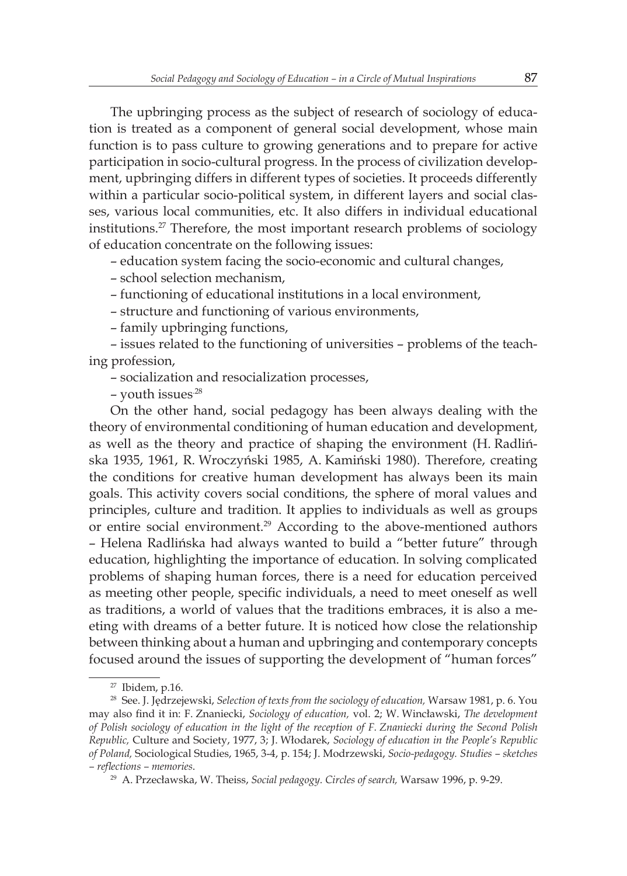The upbringing process as the subject of research of sociology of education is treated as a component of general social development, whose main function is to pass culture to growing generations and to prepare for active participation in socio-cultural progress. In the process of civilization development, upbringing differs in different types of societies. It proceeds differently within a particular socio-political system, in different layers and social classes, various local communities, etc. It also differs in individual educational institutions.<sup>27</sup> Therefore, the most important research problems of sociology of education concentrate on the following issues:

– education system facing the socio-economic and cultural changes,

- school selection mechanism,
- functioning of educational institutions in a local environment,
- structure and functioning of various environments,
- family upbringing functions,

– issues related to the functioning of universities – problems of the teaching profession,

– socialization and resocialization processes,

– youth issues.28

On the other hand, social pedagogy has been always dealing with the theory of environmental conditioning of human education and development, as well as the theory and practice of shaping the environment (H. Radlińska 1935, 1961, R. Wroczyński 1985, A. Kamiński 1980). Therefore, creating the conditions for creative human development has always been its main goals. This activity covers social conditions, the sphere of moral values and principles, culture and tradition. It applies to individuals as well as groups or entire social environment.<sup>29</sup> According to the above-mentioned authors – Helena Radlińska had always wanted to build a "better future" through education, highlighting the importance of education. In solving complicated problems of shaping human forces, there is a need for education perceived as meeting other people, specific individuals, a need to meet oneself as well as traditions, a world of values that the traditions embraces, it is also a meeting with dreams of a better future. It is noticed how close the relationship between thinking about a human and upbringing and contemporary concepts focused around the issues of supporting the development of "human forces"

<sup>27</sup> Ibidem, p.16.

<sup>28</sup> See. J. Jędrzejewski, *Selection of texts from the sociology of education,* Warsaw 1981, p. 6. You may also find it in: F. Znaniecki, *Sociology of education,* vol. 2; W. Wincławski, *The development of Polish sociology of education in the light of the reception of F. Znaniecki during the Second Polish Republic,* Culture and Society, 1977, 3; J. Włodarek, *Sociology of education in the People's Republic of Poland,* Sociological Studies, 1965, 3-4, p. 154; J. Modrzewski, *Socio-pedagogy. Studies – sketches – reflections – memories*.

<sup>29</sup> A. Przecławska, W. Theiss, *Social pedagogy. Circles of search,* Warsaw 1996, p. 9-29.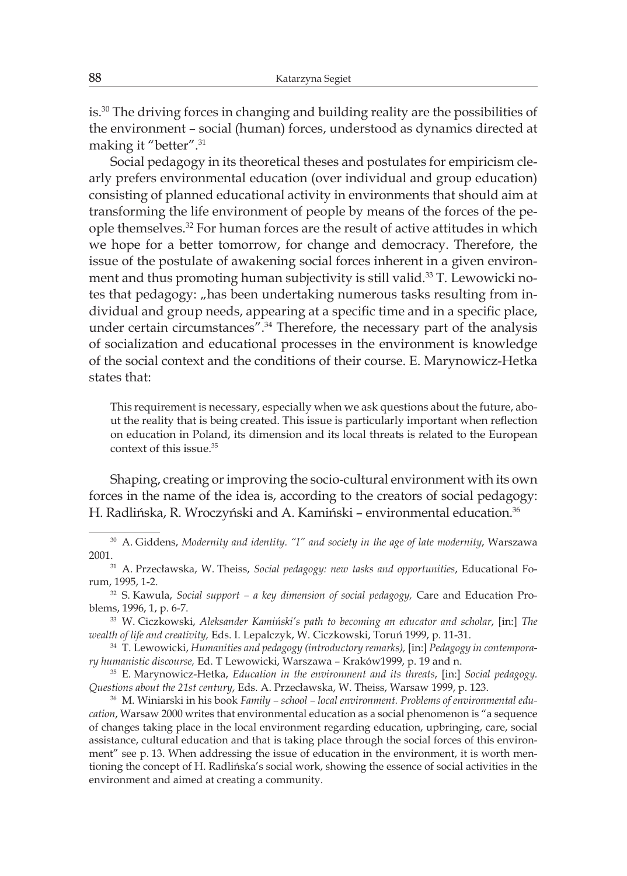is.<sup>30</sup> The driving forces in changing and building reality are the possibilities of the environment – social (human) forces, understood as dynamics directed at making it "better".<sup>31</sup>

Social pedagogy in its theoretical theses and postulates for empiricism clearly prefers environmental education (over individual and group education) consisting of planned educational activity in environments that should aim at transforming the life environment of people by means of the forces of the people themselves.<sup>32</sup> For human forces are the result of active attitudes in which we hope for a better tomorrow, for change and democracy. Therefore, the issue of the postulate of awakening social forces inherent in a given environment and thus promoting human subjectivity is still valid.<sup>33</sup> T. Lewowicki notes that pedagogy: "has been undertaking numerous tasks resulting from individual and group needs, appearing at a specific time and in a specific place, under certain circumstances".<sup>34</sup> Therefore, the necessary part of the analysis of socialization and educational processes in the environment is knowledge of the social context and the conditions of their course. E. Marynowicz-Hetka states that:

This requirement is necessary, especially when we ask questions about the future, about the reality that is being created. This issue is particularly important when reflection on education in Poland, its dimension and its local threats is related to the European context of this issue.<sup>35</sup>

Shaping, creating or improving the socio-cultural environment with its own forces in the name of the idea is, according to the creators of social pedagogy: H. Radlińska, R. Wroczyński and A. Kamiński – environmental education.<sup>36</sup>

<sup>30</sup> A. Giddens, *Modernity and identity. "I" and society in the age of late modernity*, Warszawa 2001.

<sup>31</sup> A. Przecławska, W. Theiss, *Social pedagogy: new tasks and opportunities*, Educational Forum, 1995, 1-2.

<sup>32</sup> S. Kawula, *Social support – a key dimension of social pedagogy,* Care and Education Problems, 1996, 1, p. 6-7.

<sup>33</sup> W. Ciczkowski, *Aleksander Kamiński's path to becoming an educator and scholar*, [in:] *The wealth of life and creativity,* Eds. I. Lepalczyk, W. Ciczkowski, Toruń 1999, p. 11-31.

<sup>34</sup> T. Lewowicki, *Humanities and pedagogy (introductory remarks),* [in:] *Pedagogy in contemporary humanistic discourse,* Ed. T Lewowicki, Warszawa – Kraków1999, p. 19 and n.

<sup>35</sup> E. Marynowicz-Hetka, *Education in the environment and its threats*, [in:] *Social pedagogy. Questions about the 21st century*, Eds. A. Przecławska, W. Theiss, Warsaw 1999, p. 123.

<sup>36</sup> M. Winiarski in his book *Family – school – local environment. Problems of environmental education*, Warsaw 2000 writes that environmental education as a social phenomenon is "a sequence of changes taking place in the local environment regarding education, upbringing, care, social assistance, cultural education and that is taking place through the social forces of this environment" see p. 13. When addressing the issue of education in the environment, it is worth mentioning the concept of H. Radlińska's social work, showing the essence of social activities in the environment and aimed at creating a community.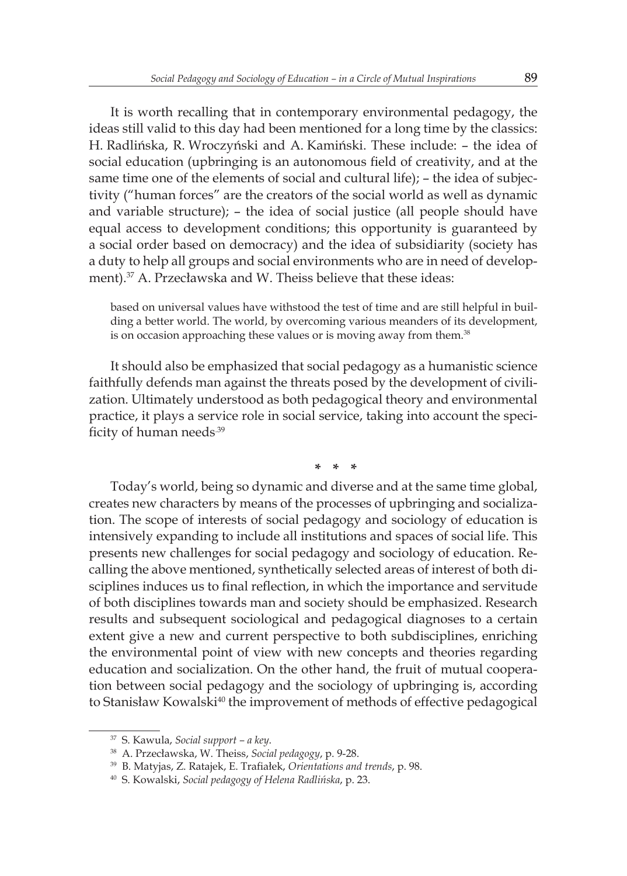It is worth recalling that in contemporary environmental pedagogy, the ideas still valid to this day had been mentioned for a long time by the classics: H. Radlińska, R. Wroczyński and A. Kamiński. These include: – the idea of social education (upbringing is an autonomous field of creativity, and at the same time one of the elements of social and cultural life); – the idea of subjectivity ("human forces" are the creators of the social world as well as dynamic and variable structure); – the idea of social justice (all people should have equal access to development conditions; this opportunity is guaranteed by a social order based on democracy) and the idea of subsidiarity (society has a duty to help all groups and social environments who are in need of development).<sup>37</sup> A. Przecławska and W. Theiss believe that these ideas:

based on universal values have withstood the test of time and are still helpful in building a better world. The world, by overcoming various meanders of its development, is on occasion approaching these values or is moving away from them.<sup>38</sup>

It should also be emphasized that social pedagogy as a humanistic science faithfully defends man against the threats posed by the development of civilization. Ultimately understood as both pedagogical theory and environmental practice, it plays a service role in social service, taking into account the specificity of human needs.39

**\* \* \***

Today's world, being so dynamic and diverse and at the same time global, creates new characters by means of the processes of upbringing and socialization. The scope of interests of social pedagogy and sociology of education is intensively expanding to include all institutions and spaces of social life. This presents new challenges for social pedagogy and sociology of education. Recalling the above mentioned, synthetically selected areas of interest of both disciplines induces us to final reflection, in which the importance and servitude of both disciplines towards man and society should be emphasized. Research results and subsequent sociological and pedagogical diagnoses to a certain extent give a new and current perspective to both subdisciplines, enriching the environmental point of view with new concepts and theories regarding education and socialization. On the other hand, the fruit of mutual cooperation between social pedagogy and the sociology of upbringing is, according to Stanisław Kowalski<sup>40</sup> the improvement of methods of effective pedagogical

<sup>37</sup> S. Kawula, *Social support – a key*.

<sup>38</sup> A. Przecławska, W. Theiss, *Social pedagogy*, p. 9-28.

<sup>39</sup> B. Matyjas, Z. Ratajek, E. Trafiałek, *Orientations and trends*, p. 98.

<sup>40</sup> S. Kowalski, *Social pedagogy of Helena Radlińska*, p. 23.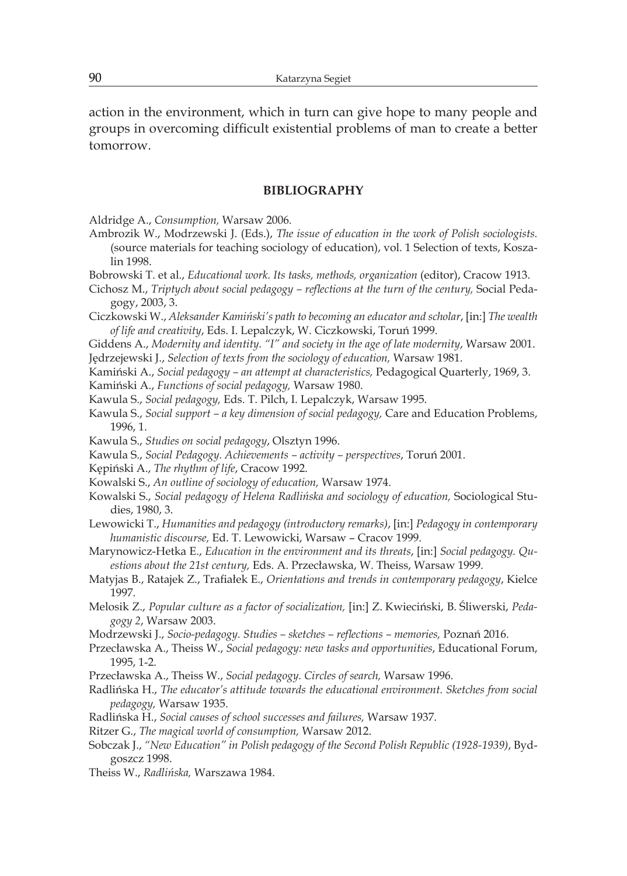action in the environment, which in turn can give hope to many people and groups in overcoming difficult existential problems of man to create a better tomorrow.

#### **BIBLIOGRAPHY**

Aldridge A., *Consumption,* Warsaw 2006.

- Ambrozik W., Modrzewski J. (Eds.), *The issue of education in the work of Polish sociologists.* (source materials for teaching sociology of education), vol. 1 Selection of texts, Koszalin 1998.
- Bobrowski T. et al., *Educational work. Its tasks, methods, organization* (editor), Cracow 1913.
- Cichosz M., *Triptych about social pedagogy reflections at the turn of the century,* Social Pedagogy, 2003, 3.

Ciczkowski W., *Aleksander Kamiński's path to becoming an educator and scholar*, [in:] *The wealth of life and creativity*, Eds. I. Lepalczyk, W. Ciczkowski, Toruń 1999.

Giddens A., *Modernity and identity. "I" and society in the age of late modernity*, Warsaw 2001.

Jędrzejewski J., *Selection of texts from the sociology of education,* Warsaw 1981.

Kamiński A., *Social pedagogy – an attempt at characteristics,* Pedagogical Quarterly, 1969, 3.

Kamiński A., *Functions of social pedagogy,* Warsaw 1980.

Kawula S., *Social pedagogy,* Eds. T. Pilch, I. Lepalczyk, Warsaw 1995.

- Kawula S., *Social support a key dimension of social pedagogy,* Care and Education Problems, 1996, 1.
- Kawula S., *Studies on social pedagogy*, Olsztyn 1996.
- Kawula S., *Social Pedagogy. Achievements activity perspectives*, Toruń 2001.

Kępiński A., *The rhythm of life*, Cracow 1992.

- Kowalski S., *An outline of sociology of education,* Warsaw 1974.
- Kowalski S., *Social pedagogy of Helena Radlińska and sociology of education,* Sociological Studies, 1980, 3.
- Lewowicki T., *Humanities and pedagogy (introductory remarks)*, [in:] *Pedagogy in contemporary humanistic discourse,* Ed. T. Lewowicki, Warsaw – Cracov 1999.
- Marynowicz-Hetka E., *Education in the environment and its threats*, [in:] *Social pedagogy. Questions about the 21st century,* Eds. A. Przecławska, W. Theiss, Warsaw 1999.
- Matyjas B., Ratajek Z., Trafiałek E., *Orientations and trends in contemporary pedagogy*, Kielce 1997.
- Melosik Z., *Popular culture as a factor of socialization,* [in:] Z. Kwieciński, B. Śliwerski, *Pedagogy 2*, Warsaw 2003.
- Modrzewski J., *Socio-pedagogy. Studies sketches reflections memories,* Poznań 2016.
- Przecławska A., Theiss W., *Social pedagogy: new tasks and opportunities*, Educational Forum, 1995, 1-2.
- Przecławska A., Theiss W., *Social pedagogy. Circles of search,* Warsaw 1996.

Radlińska H., *The educator's attitude towards the educational environment. Sketches from social pedagogy,* Warsaw 1935.

- Radlińska H., *Social causes of school successes and failures,* Warsaw 1937.
- Ritzer G., *The magical world of consumption,* Warsaw 2012.
- Sobczak J., *"New Education" in Polish pedagogy of the Second Polish Republic (1928-1939)*, Bydgoszcz 1998.

Theiss W., *Radlińska,* Warszawa 1984.